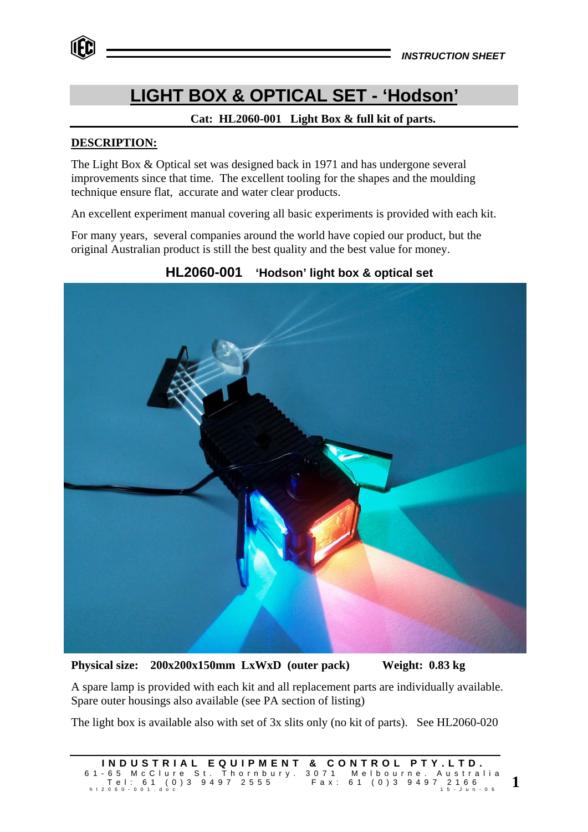# **LIGHT BOX & OPTICAL SET - 'Hodson'**

## **Cat: HL2060-001 Light Box & full kit of parts.**

## **DESCRIPTION:**

The Light Box & Optical set was designed back in 1971 and has undergone several improvements since that time. The excellent tooling for the shapes and the moulding technique ensure flat, accurate and water clear products.

An excellent experiment manual covering all basic experiments is provided with each kit.

For many years, several companies around the world have copied our product, but the original Australian product is still the best quality and the best value for money.



## **HL2060-001 'Hodson' light box & optical set**

**Physical size: 200x200x150mm LxWxD (outer pack) Weight: 0.83 kg**

A spare lamp is provided with each kit and all replacement parts are individually available. Spare outer housings also available (see PA section of listing)

The light box is available also with set of 3x slits only (no kit of parts). See HL2060-020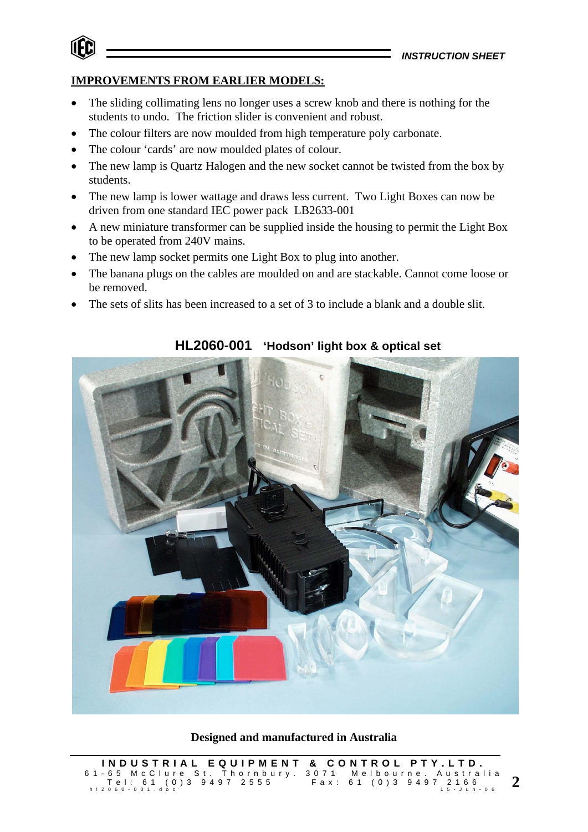## **IMPROVEMENTS FROM EARLIER MODELS:**

- The sliding collimating lens no longer uses a screw knob and there is nothing for the students to undo. The friction slider is convenient and robust.
- The colour filters are now moulded from high temperature poly carbonate.
- The colour 'cards' are now moulded plates of colour.
- The new lamp is Quartz Halogen and the new socket cannot be twisted from the box by students.
- The new lamp is lower wattage and draws less current. Two Light Boxes can now be driven from one standard IEC power pack LB2633-001
- A new miniature transformer can be supplied inside the housing to permit the Light Box to be operated from 240V mains.
- The new lamp socket permits one Light Box to plug into another.
- The banana plugs on the cables are moulded on and are stackable. Cannot come loose or be removed.
- The sets of slits has been increased to a set of 3 to include a blank and a double slit.



## **HL2060-001 'Hodson' light box & optical set**

**Designed and manufactured in Australia**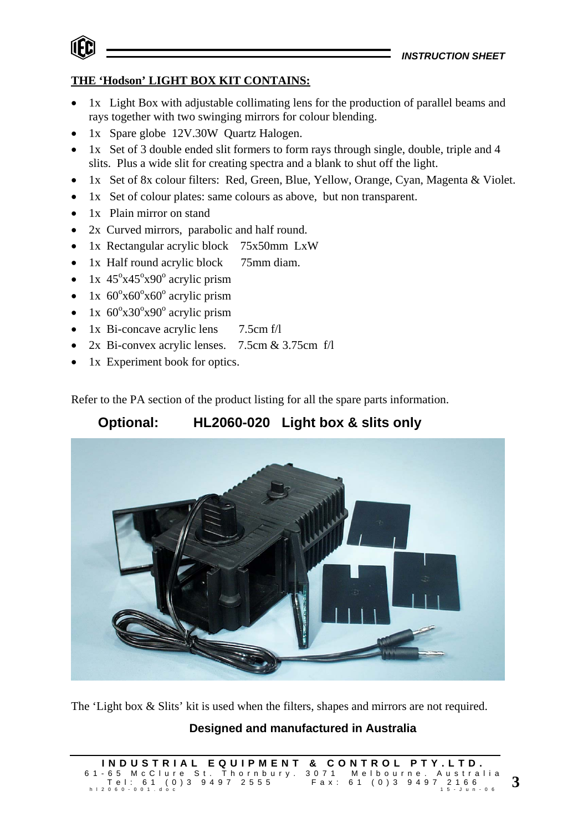

## **THE 'Hodson' LIGHT BOX KIT CONTAINS:**

- 1x Light Box with adjustable collimating lens for the production of parallel beams and rays together with two swinging mirrors for colour blending.
- 1x Spare globe 12V.30W Quartz Halogen.
- 1x Set of 3 double ended slit formers to form rays through single, double, triple and 4 slits. Plus a wide slit for creating spectra and a blank to shut off the light.
- 1x Set of 8x colour filters: Red, Green, Blue, Yellow, Orange, Cyan, Magenta & Violet.
- 1x Set of colour plates: same colours as above, but non transparent.
- 1x Plain mirror on stand
- 2x Curved mirrors, parabolic and half round.
- 1x Rectangular acrylic block 75x50mm LxW
- 1x Half round acrylic block 75mm diam.
- 1x  $45^{\circ}x45^{\circ}x90^{\circ}$  acrylic prism
- 1x  $60^{\circ}x60^{\circ}x60^{\circ}$  acrylic prism
- 1x  $60^{\circ}x30^{\circ}x90^{\circ}$  acrylic prism
- 1x Bi-concave acrylic lens 7.5cm f/l
- 2x Bi-convex acrylic lenses. 7.5cm & 3.75cm f/l
- 1x Experiment book for optics.

Refer to the PA section of the product listing for all the spare parts information.

## **Optional: HL2060-020 Light box & slits only**



The 'Light box & Slits' kit is used when the filters, shapes and mirrors are not required.

## **Designed and manufactured in Australia**